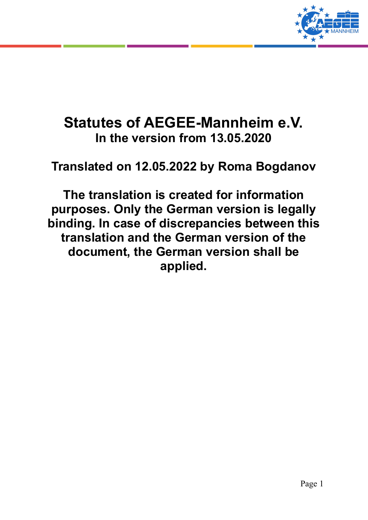

# **Statutes of AEGEE-Mannheim e.V. In the version from 13.05.2020**

**Translated on 12.05.2022 by Roma Bogdanov**

**The translation is created for information purposes. Only the German version is legally binding. In case of discrepancies between this translation and the German version of the document, the German version shall be applied.**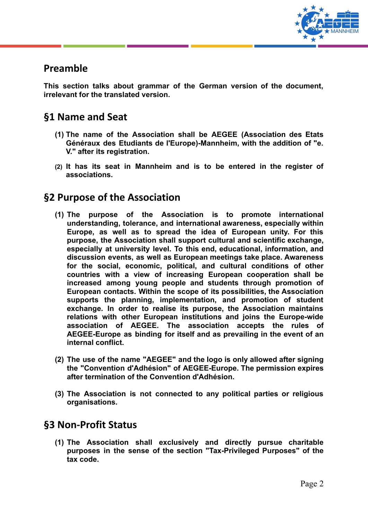

## **Preamble**

**This section talks about grammar of the German version of the document, irrelevant for the translated version.**

## **§1 Name and Seat**

- **(1) The name of the Association shall be AEGEE (Association des Etats Généraux des Etudiants de l'Europe)-Mannheim, with the addition of "e. V." after its registration.**
- **(2) It has its seat in Mannheim and is to be entered in the register of associations.**

#### **§2 Purpose of the Association**

- **(1) The purpose of the Association is to promote international understanding, tolerance, and international awareness, especially within Europe, as well as to spread the idea of European unity. For this purpose, the Association shall support cultural and scientific exchange, especially at university level. To this end, educational, information, and discussion events, as well as European meetings take place. Awareness for the social, economic, political, and cultural conditions of other countries with a view of increasing European cooperation shall be increased among young people and students through promotion of European contacts. Within the scope of its possibilities, the Association supports the planning, implementation, and promotion of student exchange. In order to realise its purpose, the Association maintains relations with other European institutions and joins the Europe-wide association of AEGEE. The association accepts the rules of AEGEE-Europe as binding for itself and as prevailing in the event of an internal conflict.**
- **(2) The use of the name "AEGEE" and the logo is only allowed after signing the "Convention d'Adhésion" of AEGEE-Europe. The permission expires after termination of the Convention d'Adhésion.**
- **(3) The Association is not connected to any political parties or religious organisations.**

## **§3 Non-Profit Status**

**(1) The Association shall exclusively and directly pursue charitable purposes in the sense of the section "Tax-Privileged Purposes" of the tax code.**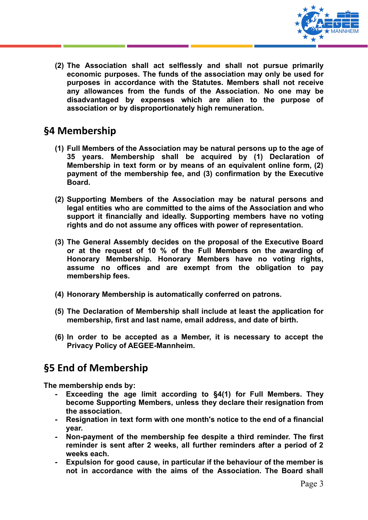

**(2) The Association shall act selflessly and shall not pursue primarily economic purposes. The funds of the association may only be used for purposes in accordance with the Statutes. Members shall not receive any allowances from the funds of the Association. No one may be disadvantaged by expenses which are alien to the purpose of association or by disproportionately high remuneration.**

## **§4 Membership**

- **(1) Full Members of the Association may be natural persons up to the age of 35 years. Membership shall be acquired by (1) Declaration of Membership in text form or by means of an equivalent online form, (2) payment of the membership fee, and (3) confirmation by the Executive Board.**
- **(2) Supporting Members of the Association may be natural persons and legal entities who are committed to the aims of the Association and who support it financially and ideally. Supporting members have no voting rights and do not assume any offices with power of representation.**
- **(3) The General Assembly decides on the proposal of the Executive Board or at the request of 10 % of the Full Members on the awarding of Honorary Membership. Honorary Members have no voting rights, assume no offices and are exempt from the obligation to pay membership fees.**
- **(4) Honorary Membership is automatically conferred on patrons.**
- **(5) The Declaration of Membership shall include at least the application for membership, first and last name, email address, and date of birth.**
- **(6) In order to be accepted as a Member, it is necessary to accept the Privacy Policy of AEGEE-Mannheim.**

# **§5 End of Membership**

**The membership ends by:**

- **- Exceeding the age limit according to §4(1) for Full Members. They become Supporting Members, unless they declare their resignation from the association.**
- **- Resignation in text form with one month's notice to the end of a financial year.**
- **- Non-payment of the membership fee despite a third reminder. The first reminder is sent after 2 weeks, all further reminders after a period of 2 weeks each.**
- **- Expulsion for good cause, in particular if the behaviour of the member is not in accordance with the aims of the Association. The Board shall**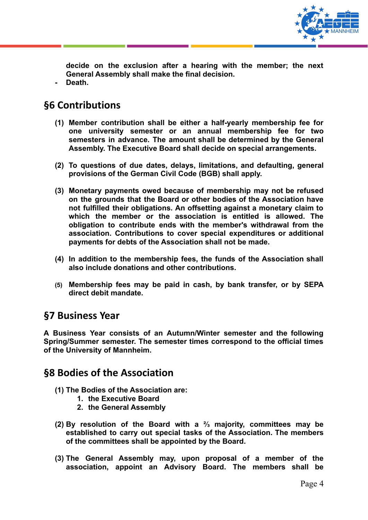

**decide on the exclusion after a hearing with the member; the next General Assembly shall make the final decision. - Death.**

## **§6 Contributions**

- **(1) Member contribution shall be either a half-yearly membership fee for one university semester or an annual membership fee for two semesters in advance. The amount shall be determined by the General Assembly. The Executive Board shall decide on special arrangements.**
- **(2) To questions of due dates, delays, limitations, and defaulting, general provisions of the German Civil Code (BGB) shall apply.**
- **(3) Monetary payments owed because of membership may not be refused on the grounds that the Board or other bodies of the Association have not fulfilled their obligations. An offsetting against a monetary claim to which the member or the association is entitled is allowed. The obligation to contribute ends with the member's withdrawal from the association. Contributions to cover special expenditures or additional payments for debts of the Association shall not be made.**
- **(4) In addition to the membership fees, the funds of the Association shall also include donations and other contributions.**
- **(5) Membership fees may be paid in cash, by bank transfer, or by SEPA direct debit mandate.**

#### **§7 Business Year**

**A Business Year consists of an Autumn/Winter semester and the following Spring/Summer semester. The semester times correspond to the official times of the University of Mannheim.**

#### **§8 Bodies of the Association**

- **(1) The Bodies of the Association are:**
	- **1. the Executive Board**
	- **2. the General Assembly**
- **(2) By resolution of the Board with a ⅔ majority, committees may be established to carry out special tasks of the Association. The members of the committees shall be appointed by the Board.**
- **(3) The General Assembly may, upon proposal of a member of the association, appoint an Advisory Board. The members shall be**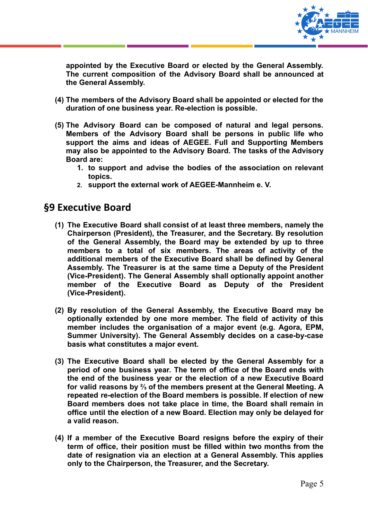

**appointed by the Executive Board or elected by the General Assembly. The current composition of the Advisory Board shall be announced at the General Assembly.**

- **(4) The members of the Advisory Board shall be appointed or elected for the duration of one business year. Re-election is possible.**
- **(5) The Advisory Board can be composed of natural and legal persons. Members of the Advisory Board shall be persons in public life who support the aims and ideas of AEGEE. Full and Supporting Members may also be appointed to the Advisory Board. The tasks of the Advisory Board are:**
	- **1. to support and advise the bodies of the association on relevant topics.**
	- **2. support the external work of AEGEE-Mannheim e. V.**

#### **§9 Executive Board**

- **(1) The Executive Board shall consist of at least three members, namely the Chairperson (President), the Treasurer, and the Secretary. By resolution of the General Assembly, the Board may be extended by up to three members to a total of six members. The areas of activity of the additional members of the Executive Board shall be defined by General Assembly. The Treasurer is at the same time a Deputy of the President (Vice-President). The General Assembly shall optionally appoint another member of the Executive Board as Deputy of the President (Vice-President).**
- **(2) By resolution of the General Assembly, the Executive Board may be optionally extended by one more member. The field of activity of this member includes the organisation of a major event (e.g. Agora, EPM, Summer University). The General Assembly decides on a case-by-case basis what constitutes a major event.**
- **(3) The Executive Board shall be elected by the General Assembly for a period of one business year. The term of office of the Board ends with the end of the business year or the election of a new Executive Board for valid reasons by ⅔ of the members present at the General Meeting. A repeated re-election of the Board members is possible. If election of new Board members does not take place in time, the Board shall remain in office until the election of a new Board. Election may only be delayed for a valid reason.**
- **(4) If a member of the Executive Board resigns before the expiry of their term of office, their position must be filled within two months from the date of resignation via an election at a General Assembly. This applies only to the Chairperson, the Treasurer, and the Secretary.**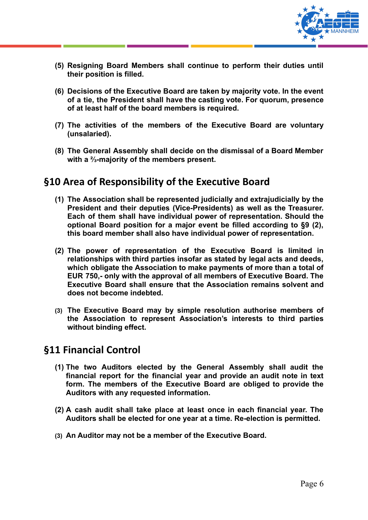

- **(5) Resigning Board Members shall continue to perform their duties until their position is filled.**
- **(6) Decisions of the Executive Board are taken by majority vote. In the event of a tie, the President shall have the casting vote. For quorum, presence of at least half of the board members is required.**
- **(7) The activities of the members of the Executive Board are voluntary (unsalaried).**
- **(8) The General Assembly shall decide on the dismissal of a Board Member with a ⅔-majority of the members present.**

## **§10 Area of Responsibility of the Executive Board**

- **(1) The Association shall be represented judicially and extrajudicially by the President and their deputies (Vice-Presidents) as well as the Treasurer. Each of them shall have individual power of representation. Should the optional Board position for a major event be filled according to §9 (2), this board member shall also have individual power of representation.**
- **(2) The power of representation of the Executive Board is limited in relationships with third parties insofar as stated by legal acts and deeds, which obligate the Association to make payments of more than a total of EUR 750,- only with the approval of all members of Executive Board. The Executive Board shall ensure that the Association remains solvent and does not become indebted.**
- **(3) The Executive Board may by simple resolution authorise members of the Association to represent Association's interests to third parties without binding effect.**

#### **§11 Financial Control**

- **(1) The two Auditors elected by the General Assembly shall audit the financial report for the financial year and provide an audit note in text form. The members of the Executive Board are obliged to provide the Auditors with any requested information.**
- **(2) A cash audit shall take place at least once in each financial year. The Auditors shall be elected for one year at a time. Re-election is permitted.**
- **(3) An Auditor may not be a member of the Executive Board.**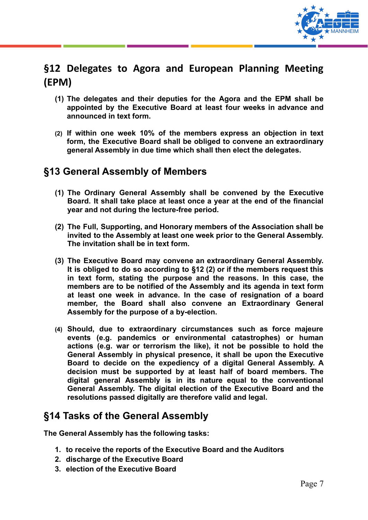

## **§12 Delegates to Agora and European Planning Meeting (EPM)**

- **(1) The delegates and their deputies for the Agora and the EPM shall be appointed by the Executive Board at least four weeks in advance and announced in text form.**
- **(2) If within one week 10% of the members express an objection in text form, the Executive Board shall be obliged to convene an extraordinary general Assembly in due time which shall then elect the delegates.**

## **§13 General Assembly of Members**

- **(1) The Ordinary General Assembly shall be convened by the Executive Board. It shall take place at least once a year at the end of the financial year and not during the lecture-free period.**
- **(2) The Full, Supporting, and Honorary members of the Association shall be invited to the Assembly at least one week prior to the General Assembly. The invitation shall be in text form.**
- **(3) The Executive Board may convene an extraordinary General Assembly. It is obliged to do so according to §12 (2) or if the members request this in text form, stating the purpose and the reasons. In this case, the members are to be notified of the Assembly and its agenda in text form at least one week in advance. In the case of resignation of a board member, the Board shall also convene an Extraordinary General Assembly for the purpose of a by-election.**
- **(4) Should, due to extraordinary circumstances such as force majeure events (e.g. pandemics or environmental catastrophes) or human actions (e.g. war or terrorism the like), it not be possible to hold the General Assembly in physical presence, it shall be upon the Executive Board to decide on the expediency of a digital General Assembly. A decision must be supported by at least half of board members. The digital general Assembly is in its nature equal to the conventional General Assembly. The digital election of the Executive Board and the resolutions passed digitally are therefore valid and legal.**

#### **§14 Tasks of the General Assembly**

**The General Assembly has the following tasks:**

- **1. to receive the reports of the Executive Board and the Auditors**
- **2. discharge of the Executive Board**
- **3. election of the Executive Board**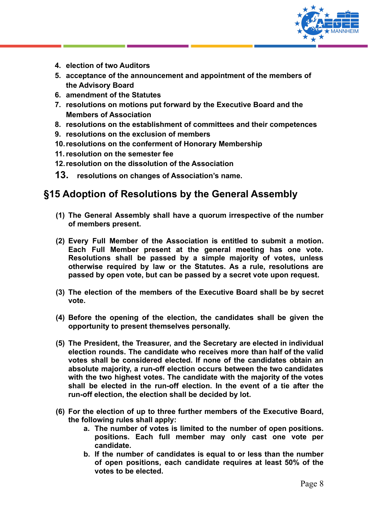

- **4. election of two Auditors**
- **5. acceptance of the announcement and appointment of the members of the Advisory Board**
- **6. amendment of the Statutes**
- **7. resolutions on motions put forward by the Executive Board and the Members of Association**
- **8. resolutions on the establishment of committees and their competences**
- **9. resolutions on the exclusion of members**
- **10.resolutions on the conferment of Honorary Membership**
- **11.resolution on the semester fee**
- **12.resolution on the dissolution of the Association**
- **13. resolutions on changes of Association's name.**

## **§15 Adoption of Resolutions by the General Assembly**

- **(1) The General Assembly shall have a quorum irrespective of the number of members present.**
- **(2) Every Full Member of the Association is entitled to submit a motion. Each Full Member present at the general meeting has one vote. Resolutions shall be passed by a simple majority of votes, unless otherwise required by law or the Statutes. As a rule, resolutions are passed by open vote, but can be passed by a secret vote upon request.**
- **(3) The election of the members of the Executive Board shall be by secret vote.**
- **(4) Before the opening of the election, the candidates shall be given the opportunity to present themselves personally.**
- **(5) The President, the Treasurer, and the Secretary are elected in individual election rounds. The candidate who receives more than half of the valid votes shall be considered elected. If none of the candidates obtain an absolute majority, a run-off election occurs between the two candidates with the two highest votes. The candidate with the majority of the votes shall be elected in the run-off election. In the event of a tie after the run-off election, the election shall be decided by lot.**
- **(6) For the election of up to three further members of the Executive Board, the following rules shall apply:**
	- **a. The number of votes is limited to the number of open positions. positions. Each full member may only cast one vote per candidate.**
	- **b. If the number of candidates is equal to or less than the number of open positions, each candidate requires at least 50% of the votes to be elected.**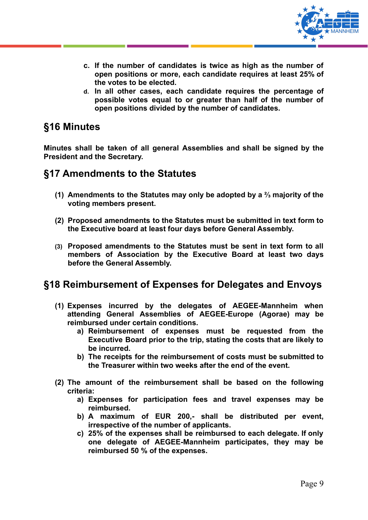

- **c. If the number of candidates is twice as high as the number of open positions or more, each candidate requires at least 25% of the votes to be elected.**
- **d. In all other cases, each candidate requires the percentage of possible votes equal to or greater than half of the number of open positions divided by the number of candidates.**

#### **§16 Minutes**

**Minutes shall be taken of all general Assemblies and shall be signed by the President and the Secretary.**

#### **§17 Amendments to the Statutes**

- **(1) Amendments to the Statutes may only be adopted by a ⅔ majority of the voting members present.**
- **(2) Proposed amendments to the Statutes must be submitted in text form to the Executive board at least four days before General Assembly.**
- **(3) Proposed amendments to the Statutes must be sent in text form to all members of Association by the Executive Board at least two days before the General Assembly.**

#### **§18 Reimbursement of Expenses for Delegates and Envoys**

- **(1) Expenses incurred by the delegates of AEGEE-Mannheim when attending General Assemblies of AEGEE-Europe (Agorae) may be reimbursed under certain conditions.**
	- **a) Reimbursement of expenses must be requested from the Executive Board prior to the trip, stating the costs that are likely to be incurred.**
	- **b) The receipts for the reimbursement of costs must be submitted to the Treasurer within two weeks after the end of the event.**
- **(2) The amount of the reimbursement shall be based on the following criteria:**
	- **a) Expenses for participation fees and travel expenses may be reimbursed.**
	- **b) A maximum of EUR 200,- shall be distributed per event, irrespective of the number of applicants.**
	- **c) 25% of the expenses shall be reimbursed to each delegate. If only one delegate of AEGEE-Mannheim participates, they may be reimbursed 50 % of the expenses.**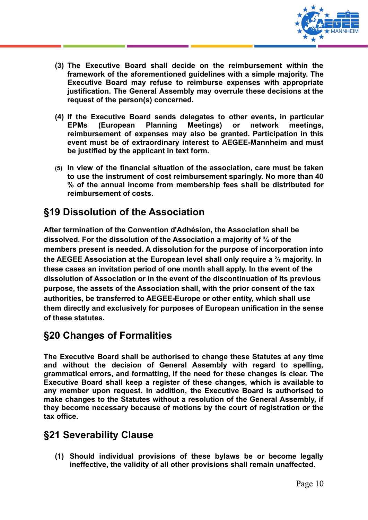

- **(3) The Executive Board shall decide on the reimbursement within the framework of the aforementioned guidelines with a simple majority. The Executive Board may refuse to reimburse expenses with appropriate justification. The General Assembly may overrule these decisions at the request of the person(s) concerned.**
- **(4) If the Executive Board sends delegates to other events, in particular EPMs (European Planning Meetings) or network meetings, reimbursement of expenses may also be granted. Participation in this event must be of extraordinary interest to AEGEE-Mannheim and must be justified by the applicant in text form.**
- **(5) In view of the financial situation of the association, care must be taken to use the instrument of cost reimbursement sparingly. No more than 40 % of the annual income from membership fees shall be distributed for reimbursement of costs.**

## **§19 Dissolution of the Association**

**After termination of the Convention d'Adhésion, the Association shall be dissolved. For the dissolution of the Association a majority of ¾ of the members present is needed. A dissolution for the purpose of incorporation into the AEGEE Association at the European level shall only require a ⅔ majority. In these cases an invitation period of one month shall apply. In the event of the dissolution of Association or in the event of the discontinuation of its previous purpose, the assets of the Association shall, with the prior consent of the tax authorities, be transferred to AEGEE-Europe or other entity, which shall use them directly and exclusively for purposes of European unification in the sense of these statutes.**

# **§20 Changes of Formalities**

**The Executive Board shall be authorised to change these Statutes at any time and without the decision of General Assembly with regard to spelling, grammatical errors, and formatting, if the need for these changes is clear. The Executive Board shall keep a register of these changes, which is available to any member upon request. In addition, the Executive Board is authorised to make changes to the Statutes without a resolution of the General Assembly, if they become necessary because of motions by the court of registration or the tax office.**

## **§21 Severability Clause**

**(1) Should individual provisions of these bylaws be or become legally ineffective, the validity of all other provisions shall remain unaffected.**